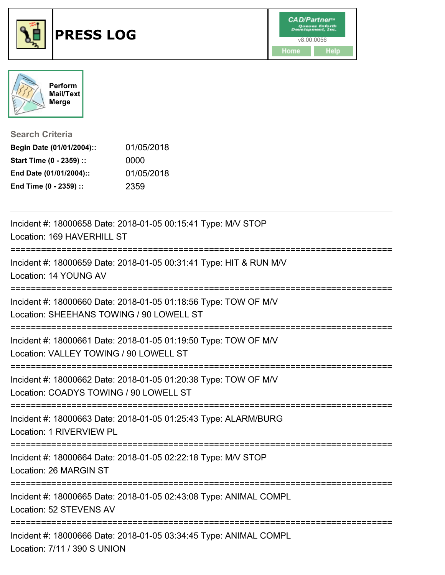



**Search Criteria**

| Begin Date (01/01/2004):: | 01/05/2018 |
|---------------------------|------------|
| Start Time (0 - 2359) ::  | 0000       |
| End Date (01/01/2004)::   | 01/05/2018 |
| End Time (0 - 2359) ::    | 2359       |

| Incident #: 18000658 Date: 2018-01-05 00:15:41 Type: M/V STOP<br>Location: 169 HAVERHILL ST                                              |
|------------------------------------------------------------------------------------------------------------------------------------------|
| Incident #: 18000659 Date: 2018-01-05 00:31:41 Type: HIT & RUN M/V<br>Location: 14 YOUNG AV<br>____________________________________      |
| Incident #: 18000660 Date: 2018-01-05 01:18:56 Type: TOW OF M/V<br>Location: SHEEHANS TOWING / 90 LOWELL ST                              |
| Incident #: 18000661 Date: 2018-01-05 01:19:50 Type: TOW OF M/V<br>Location: VALLEY TOWING / 90 LOWELL ST                                |
| Incident #: 18000662 Date: 2018-01-05 01:20:38 Type: TOW OF M/V<br>Location: COADYS TOWING / 90 LOWELL ST<br>:========================== |
| Incident #: 18000663 Date: 2018-01-05 01:25:43 Type: ALARM/BURG<br>Location: 1 RIVERVIEW PL                                              |
| Incident #: 18000664 Date: 2018-01-05 02:22:18 Type: M/V STOP<br>Location: 26 MARGIN ST                                                  |
| Incident #: 18000665 Date: 2018-01-05 02:43:08 Type: ANIMAL COMPL<br>Location: 52 STEVENS AV                                             |
| Incident #: 18000666 Date: 2018-01-05 03:34:45 Type: ANIMAL COMPL<br>Location: 7/11 / 390 S UNION                                        |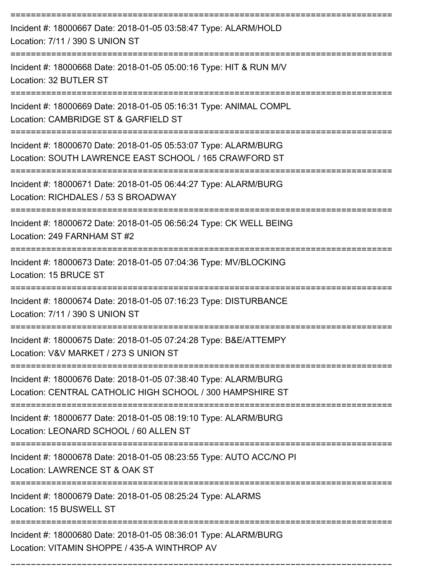| Incident #: 18000667 Date: 2018-01-05 03:58:47 Type: ALARM/HOLD<br>Location: 7/11 / 390 S UNION ST                           |
|------------------------------------------------------------------------------------------------------------------------------|
| Incident #: 18000668 Date: 2018-01-05 05:00:16 Type: HIT & RUN M/V<br>Location: 32 BUTLER ST                                 |
| Incident #: 18000669 Date: 2018-01-05 05:16:31 Type: ANIMAL COMPL<br>Location: CAMBRIDGE ST & GARFIELD ST                    |
| Incident #: 18000670 Date: 2018-01-05 05:53:07 Type: ALARM/BURG<br>Location: SOUTH LAWRENCE EAST SCHOOL / 165 CRAWFORD ST    |
| Incident #: 18000671 Date: 2018-01-05 06:44:27 Type: ALARM/BURG<br>Location: RICHDALES / 53 S BROADWAY                       |
| Incident #: 18000672 Date: 2018-01-05 06:56:24 Type: CK WELL BEING<br>Location: 249 FARNHAM ST #2                            |
| Incident #: 18000673 Date: 2018-01-05 07:04:36 Type: MV/BLOCKING<br>Location: 15 BRUCE ST                                    |
| Incident #: 18000674 Date: 2018-01-05 07:16:23 Type: DISTURBANCE<br>Location: 7/11 / 390 S UNION ST                          |
| Incident #: 18000675 Date: 2018-01-05 07:24:28 Type: B&E/ATTEMPY<br>Location: V&V MARKET / 273 S UNION ST                    |
| Incident #: 18000676 Date: 2018-01-05 07:38:40 Type: ALARM/BURG<br>Location: CENTRAL CATHOLIC HIGH SCHOOL / 300 HAMPSHIRE ST |
| Incident #: 18000677 Date: 2018-01-05 08:19:10 Type: ALARM/BURG<br>Location: LEONARD SCHOOL / 60 ALLEN ST                    |
| Incident #: 18000678 Date: 2018-01-05 08:23:55 Type: AUTO ACC/NO PI<br>Location: LAWRENCE ST & OAK ST                        |
| Incident #: 18000679 Date: 2018-01-05 08:25:24 Type: ALARMS<br>Location: 15 BUSWELL ST                                       |
| Incident #: 18000680 Date: 2018-01-05 08:36:01 Type: ALARM/BURG<br>Location: VITAMIN SHOPPE / 435-A WINTHROP AV              |

===========================================================================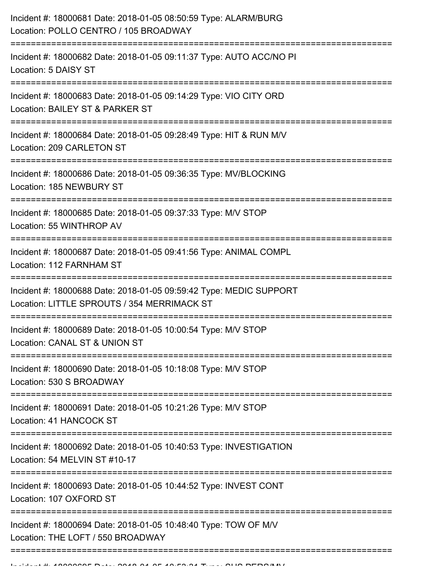| Incident #: 18000681 Date: 2018-01-05 08:50:59 Type: ALARM/BURG<br>Location: POLLO CENTRO / 105 BROADWAY          |
|-------------------------------------------------------------------------------------------------------------------|
| Incident #: 18000682 Date: 2018-01-05 09:11:37 Type: AUTO ACC/NO PI<br>Location: 5 DAISY ST                       |
| Incident #: 18000683 Date: 2018-01-05 09:14:29 Type: VIO CITY ORD<br>Location: BAILEY ST & PARKER ST              |
| Incident #: 18000684 Date: 2018-01-05 09:28:49 Type: HIT & RUN M/V<br>Location: 209 CARLETON ST                   |
| Incident #: 18000686 Date: 2018-01-05 09:36:35 Type: MV/BLOCKING<br>Location: 185 NEWBURY ST                      |
| Incident #: 18000685 Date: 2018-01-05 09:37:33 Type: M/V STOP<br>Location: 55 WINTHROP AV                         |
| Incident #: 18000687 Date: 2018-01-05 09:41:56 Type: ANIMAL COMPL<br>Location: 112 FARNHAM ST                     |
| Incident #: 18000688 Date: 2018-01-05 09:59:42 Type: MEDIC SUPPORT<br>Location: LITTLE SPROUTS / 354 MERRIMACK ST |
| Incident #: 18000689 Date: 2018-01-05 10:00:54 Type: M/V STOP<br>Location: CANAL ST & UNION ST                    |
| Incident #: 18000690 Date: 2018-01-05 10:18:08 Type: M/V STOP<br>Location: 530 S BROADWAY                         |
| Incident #: 18000691 Date: 2018-01-05 10:21:26 Type: M/V STOP<br>Location: 41 HANCOCK ST                          |
| Incident #: 18000692 Date: 2018-01-05 10:40:53 Type: INVESTIGATION<br>Location: 54 MELVIN ST #10-17               |
| Incident #: 18000693 Date: 2018-01-05 10:44:52 Type: INVEST CONT<br>Location: 107 OXFORD ST                       |
| Incident #: 18000694 Date: 2018-01-05 10:48:40 Type: TOW OF M/V<br>Location: THE LOFT / 550 BROADWAY              |
|                                                                                                                   |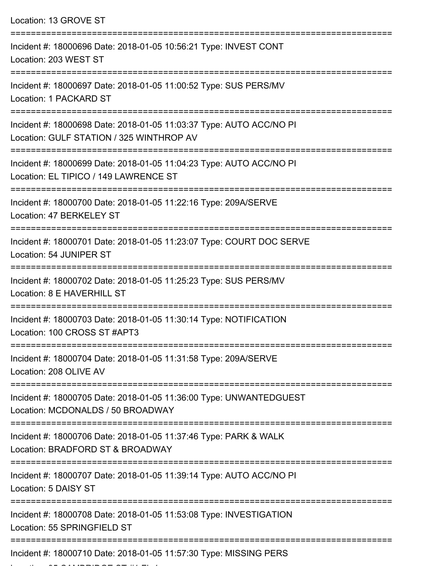| Location: 13 GROVE ST<br>---------------------                                                                                         |
|----------------------------------------------------------------------------------------------------------------------------------------|
| Incident #: 18000696 Date: 2018-01-05 10:56:21 Type: INVEST CONT<br>Location: 203 WEST ST                                              |
| Incident #: 18000697 Date: 2018-01-05 11:00:52 Type: SUS PERS/MV<br>Location: 1 PACKARD ST                                             |
| Incident #: 18000698 Date: 2018-01-05 11:03:37 Type: AUTO ACC/NO PI<br>Location: GULF STATION / 325 WINTHROP AV                        |
| Incident #: 18000699 Date: 2018-01-05 11:04:23 Type: AUTO ACC/NO PI<br>Location: EL TIPICO / 149 LAWRENCE ST<br>---------------------- |
| Incident #: 18000700 Date: 2018-01-05 11:22:16 Type: 209A/SERVE<br>Location: 47 BERKELEY ST                                            |
| Incident #: 18000701 Date: 2018-01-05 11:23:07 Type: COURT DOC SERVE<br>Location: 54 JUNIPER ST                                        |
| Incident #: 18000702 Date: 2018-01-05 11:25:23 Type: SUS PERS/MV<br>Location: 8 E HAVERHILL ST                                         |
| Incident #: 18000703 Date: 2018-01-05 11:30:14 Type: NOTIFICATION<br>Location: 100 CROSS ST #APT3                                      |
| Incident #: 18000704 Date: 2018-01-05 11:31:58 Type: 209A/SERVE<br>Location: 208 OLIVE AV                                              |
| Incident #: 18000705 Date: 2018-01-05 11:36:00 Type: UNWANTEDGUEST<br>Location: MCDONALDS / 50 BROADWAY                                |
| Incident #: 18000706 Date: 2018-01-05 11:37:46 Type: PARK & WALK<br>Location: BRADFORD ST & BROADWAY                                   |
| Incident #: 18000707 Date: 2018-01-05 11:39:14 Type: AUTO ACC/NO PI<br>Location: 5 DAISY ST                                            |
| Incident #: 18000708 Date: 2018-01-05 11:53:08 Type: INVESTIGATION<br>Location: 55 SPRINGFIELD ST                                      |
| Incident #: 18000710 Date: 2018-01-05 11:57:30 Type: MISSING PERS                                                                      |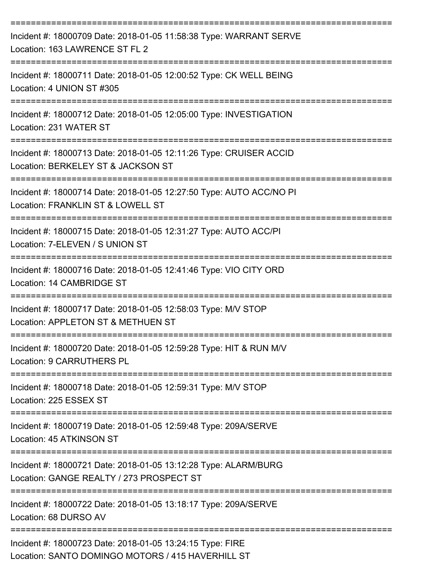| Incident #: 18000709 Date: 2018-01-05 11:58:38 Type: WARRANT SERVE<br>Location: 163 LAWRENCE ST FL 2                                                 |
|------------------------------------------------------------------------------------------------------------------------------------------------------|
| Incident #: 18000711 Date: 2018-01-05 12:00:52 Type: CK WELL BEING<br>Location: 4 UNION ST #305                                                      |
| Incident #: 18000712 Date: 2018-01-05 12:05:00 Type: INVESTIGATION<br>Location: 231 WATER ST                                                         |
| Incident #: 18000713 Date: 2018-01-05 12:11:26 Type: CRUISER ACCID<br>Location: BERKELEY ST & JACKSON ST                                             |
| Incident #: 18000714 Date: 2018-01-05 12:27:50 Type: AUTO ACC/NO PI<br>Location: FRANKLIN ST & LOWELL ST                                             |
| Incident #: 18000715 Date: 2018-01-05 12:31:27 Type: AUTO ACC/PI<br>Location: 7-ELEVEN / S UNION ST                                                  |
| Incident #: 18000716 Date: 2018-01-05 12:41:46 Type: VIO CITY ORD<br>Location: 14 CAMBRIDGE ST                                                       |
| Incident #: 18000717 Date: 2018-01-05 12:58:03 Type: M/V STOP<br>Location: APPLETON ST & METHUEN ST                                                  |
| Incident #: 18000720 Date: 2018-01-05 12:59:28 Type: HIT & RUN M/V<br>Location: 9 CARRUTHERS PL                                                      |
| ===============================<br>Incident #: 18000718 Date: 2018-01-05 12:59:31 Type: M/V STOP<br>Location: 225 ESSEX ST                           |
| Incident #: 18000719 Date: 2018-01-05 12:59:48 Type: 209A/SERVE<br>Location: 45 ATKINSON ST                                                          |
| =====================================<br>Incident #: 18000721 Date: 2018-01-05 13:12:28 Type: ALARM/BURG<br>Location: GANGE REALTY / 273 PROSPECT ST |
| Incident #: 18000722 Date: 2018-01-05 13:18:17 Type: 209A/SERVE<br>Location: 68 DURSO AV                                                             |
| Incident #: 18000723 Date: 2018-01-05 13:24:15 Type: FIRE<br>Location: SANTO DOMINGO MOTORS / 415 HAVERHILL ST                                       |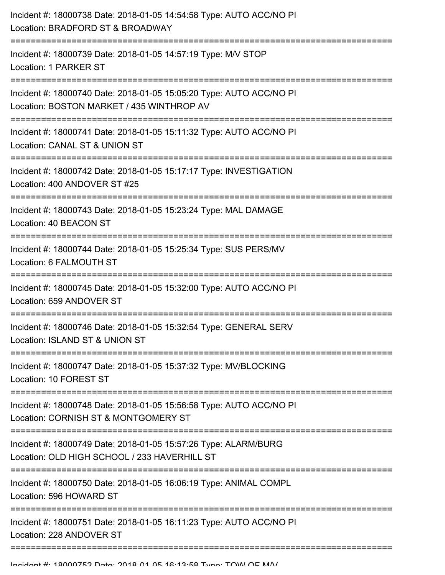| Incident #: 18000738 Date: 2018-01-05 14:54:58 Type: AUTO ACC/NO PI<br>Location: BRADFORD ST & BROADWAY                                |
|----------------------------------------------------------------------------------------------------------------------------------------|
| Incident #: 18000739 Date: 2018-01-05 14:57:19 Type: M/V STOP<br>Location: 1 PARKER ST                                                 |
| Incident #: 18000740 Date: 2018-01-05 15:05:20 Type: AUTO ACC/NO PI<br>Location: BOSTON MARKET / 435 WINTHROP AV                       |
| Incident #: 18000741 Date: 2018-01-05 15:11:32 Type: AUTO ACC/NO PI<br>Location: CANAL ST & UNION ST                                   |
| Incident #: 18000742 Date: 2018-01-05 15:17:17 Type: INVESTIGATION<br>Location: 400 ANDOVER ST #25                                     |
| Incident #: 18000743 Date: 2018-01-05 15:23:24 Type: MAL DAMAGE<br>Location: 40 BEACON ST                                              |
| Incident #: 18000744 Date: 2018-01-05 15:25:34 Type: SUS PERS/MV<br>Location: 6 FALMOUTH ST                                            |
| Incident #: 18000745 Date: 2018-01-05 15:32:00 Type: AUTO ACC/NO PI<br>Location: 659 ANDOVER ST                                        |
| Incident #: 18000746 Date: 2018-01-05 15:32:54 Type: GENERAL SERV<br>Location: ISLAND ST & UNION ST                                    |
| Incident #: 18000747 Date: 2018-01-05 15:37:32 Type: MV/BLOCKING<br>Location: 10 FOREST ST                                             |
| Incident #: 18000748 Date: 2018-01-05 15:56:58 Type: AUTO ACC/NO PI<br>Location: CORNISH ST & MONTGOMERY ST                            |
| -------------------<br>Incident #: 18000749 Date: 2018-01-05 15:57:26 Type: ALARM/BURG<br>Location: OLD HIGH SCHOOL / 233 HAVERHILL ST |
| Incident #: 18000750 Date: 2018-01-05 16:06:19 Type: ANIMAL COMPL<br>Location: 596 HOWARD ST                                           |
| Incident #: 18000751 Date: 2018-01-05 16:11:23 Type: AUTO ACC/NO PI<br>Location: 228 ANDOVER ST                                        |
|                                                                                                                                        |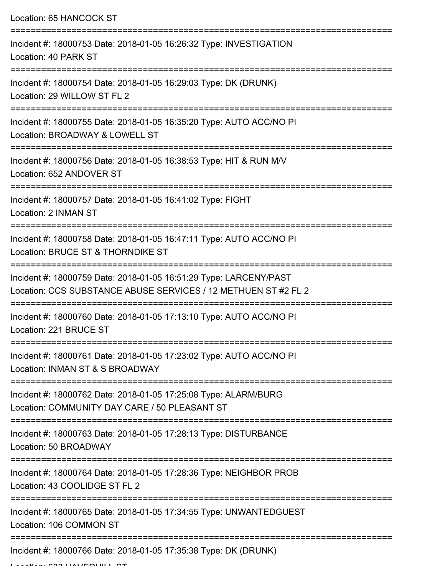Location: 65 HANCOCK ST

| Incident #: 18000753 Date: 2018-01-05 16:26:32 Type: INVESTIGATION<br>Location: 40 PARK ST                                          |
|-------------------------------------------------------------------------------------------------------------------------------------|
| Incident #: 18000754 Date: 2018-01-05 16:29:03 Type: DK (DRUNK)<br>Location: 29 WILLOW ST FL 2                                      |
| Incident #: 18000755 Date: 2018-01-05 16:35:20 Type: AUTO ACC/NO PI<br>Location: BROADWAY & LOWELL ST                               |
| Incident #: 18000756 Date: 2018-01-05 16:38:53 Type: HIT & RUN M/V<br>Location: 652 ANDOVER ST                                      |
| Incident #: 18000757 Date: 2018-01-05 16:41:02 Type: FIGHT<br>Location: 2 INMAN ST                                                  |
| Incident #: 18000758 Date: 2018-01-05 16:47:11 Type: AUTO ACC/NO PI<br>Location: BRUCE ST & THORNDIKE ST                            |
| Incident #: 18000759 Date: 2018-01-05 16:51:29 Type: LARCENY/PAST<br>Location: CCS SUBSTANCE ABUSE SERVICES / 12 METHUEN ST #2 FL 2 |
| Incident #: 18000760 Date: 2018-01-05 17:13:10 Type: AUTO ACC/NO PI<br>Location: 221 BRUCE ST                                       |
| Incident #: 18000761 Date: 2018-01-05 17:23:02 Type: AUTO ACC/NO PI<br>Location: INMAN ST & S BROADWAY                              |
| Incident #: 18000762 Date: 2018-01-05 17:25:08 Type: ALARM/BURG<br>Location: COMMUNITY DAY CARE / 50 PLEASANT ST                    |
| Incident #: 18000763 Date: 2018-01-05 17:28:13 Type: DISTURBANCE<br>Location: 50 BROADWAY                                           |
| Incident #: 18000764 Date: 2018-01-05 17:28:36 Type: NEIGHBOR PROB<br>Location: 43 COOLIDGE ST FL 2                                 |
| Incident #: 18000765 Date: 2018-01-05 17:34:55 Type: UNWANTEDGUEST<br>Location: 106 COMMON ST                                       |
| Incident #: 18000766 Date: 2018-01-05 17:35:38 Type: DK (DRUNK)                                                                     |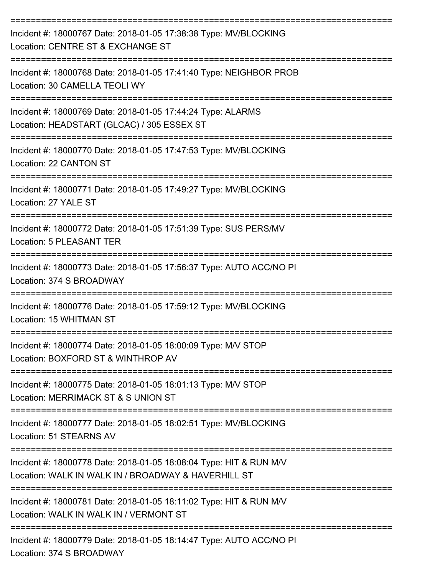| Incident #: 18000767 Date: 2018-01-05 17:38:38 Type: MV/BLOCKING<br>Location: CENTRE ST & EXCHANGE ST                                     |
|-------------------------------------------------------------------------------------------------------------------------------------------|
| Incident #: 18000768 Date: 2018-01-05 17:41:40 Type: NEIGHBOR PROB<br>Location: 30 CAMELLA TEOLI WY                                       |
| Incident #: 18000769 Date: 2018-01-05 17:44:24 Type: ALARMS<br>Location: HEADSTART (GLCAC) / 305 ESSEX ST                                 |
| ------------------------<br>Incident #: 18000770 Date: 2018-01-05 17:47:53 Type: MV/BLOCKING<br>Location: 22 CANTON ST                    |
| Incident #: 18000771 Date: 2018-01-05 17:49:27 Type: MV/BLOCKING<br>Location: 27 YALE ST                                                  |
| Incident #: 18000772 Date: 2018-01-05 17:51:39 Type: SUS PERS/MV<br>Location: 5 PLEASANT TER                                              |
| Incident #: 18000773 Date: 2018-01-05 17:56:37 Type: AUTO ACC/NO PI<br>Location: 374 S BROADWAY                                           |
| Incident #: 18000776 Date: 2018-01-05 17:59:12 Type: MV/BLOCKING<br>Location: 15 WHITMAN ST                                               |
| Incident #: 18000774 Date: 2018-01-05 18:00:09 Type: M/V STOP<br>Location: BOXFORD ST & WINTHROP AV                                       |
| Incident #: 18000775 Date: 2018-01-05 18:01:13 Type: M/V STOP<br>Location: MERRIMACK ST & S UNION ST                                      |
| Incident #: 18000777 Date: 2018-01-05 18:02:51 Type: MV/BLOCKING<br>Location: 51 STEARNS AV                                               |
| Incident #: 18000778 Date: 2018-01-05 18:08:04 Type: HIT & RUN M/V<br>Location: WALK IN WALK IN / BROADWAY & HAVERHILL ST                 |
| Incident #: 18000781 Date: 2018-01-05 18:11:02 Type: HIT & RUN M/V<br>Location: WALK IN WALK IN / VERMONT ST                              |
| --------------------------------------<br>Incident #: 18000779 Date: 2018-01-05 18:14:47 Type: AUTO ACC/NO PI<br>Location: 374 S BROADWAY |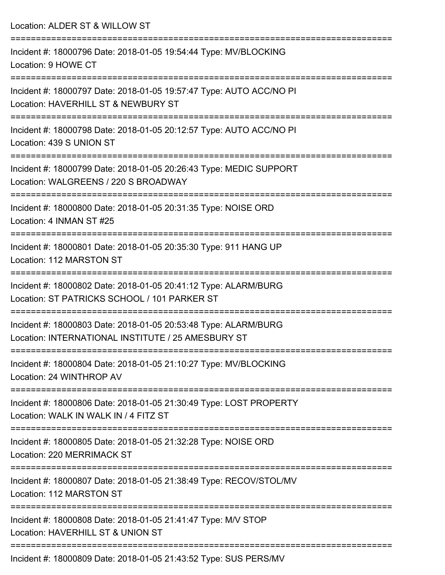Location: ALDER ST & WILLOW ST =========================================================================== Incident #: 18000796 Date: 2018-01-05 19:54:44 Type: MV/BLOCKING Location: 9 HOWE CT =========================================================================== Incident #: 18000797 Date: 2018-01-05 19:57:47 Type: AUTO ACC/NO PI Location: HAVERHILL ST & NEWBURY ST =========================================================================== Incident #: 18000798 Date: 2018-01-05 20:12:57 Type: AUTO ACC/NO PI Location: 439 S UNION ST =========================================================================== Incident #: 18000799 Date: 2018-01-05 20:26:43 Type: MEDIC SUPPORT Location: WALGREENS / 220 S BROADWAY =========================================================================== Incident #: 18000800 Date: 2018-01-05 20:31:35 Type: NOISE ORD Location: 4 INMAN ST #25 =========================================================================== Incident #: 18000801 Date: 2018-01-05 20:35:30 Type: 911 HANG UP Location: 112 MARSTON ST =========================================================================== Incident #: 18000802 Date: 2018-01-05 20:41:12 Type: ALARM/BURG Location: ST PATRICKS SCHOOL / 101 PARKER ST =========================================================================== Incident #: 18000803 Date: 2018-01-05 20:53:48 Type: ALARM/BURG Location: INTERNATIONAL INSTITUTE / 25 AMESBURY ST =========================================================================== Incident #: 18000804 Date: 2018-01-05 21:10:27 Type: MV/BLOCKING Location: 24 WINTHROP AV =========================================================================== Incident #: 18000806 Date: 2018-01-05 21:30:49 Type: LOST PROPERTY Location: WALK IN WALK IN / 4 FITZ ST =========================================================================== Incident #: 18000805 Date: 2018-01-05 21:32:28 Type: NOISE ORD Location: 220 MERRIMACK ST =========================================================================== Incident #: 18000807 Date: 2018-01-05 21:38:49 Type: RECOV/STOL/MV Location: 112 MARSTON ST =========================================================================== Incident #: 18000808 Date: 2018-01-05 21:41:47 Type: M/V STOP Location: HAVERHILL ST & UNION ST =========================================================================== Incident #: 18000809 Date: 2018-01-05 21:43:52 Type: SUS PERS/MV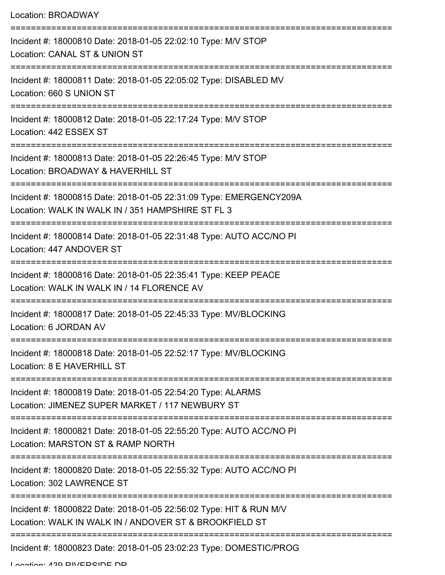| Location: BROADWAY                                                                                                           |
|------------------------------------------------------------------------------------------------------------------------------|
| Incident #: 18000810 Date: 2018-01-05 22:02:10 Type: M/V STOP<br>Location: CANAL ST & UNION ST                               |
| Incident #: 18000811 Date: 2018-01-05 22:05:02 Type: DISABLED MV<br>Location: 660 S UNION ST                                 |
| Incident #: 18000812 Date: 2018-01-05 22:17:24 Type: M/V STOP<br>Location: 442 ESSEX ST                                      |
| Incident #: 18000813 Date: 2018-01-05 22:26:45 Type: M/V STOP<br>Location: BROADWAY & HAVERHILL ST                           |
| Incident #: 18000815 Date: 2018-01-05 22:31:09 Type: EMERGENCY209A<br>Location: WALK IN WALK IN / 351 HAMPSHIRE ST FL 3      |
| Incident #: 18000814 Date: 2018-01-05 22:31:48 Type: AUTO ACC/NO PI<br>Location: 447 ANDOVER ST                              |
| Incident #: 18000816 Date: 2018-01-05 22:35:41 Type: KEEP PEACE<br>Location: WALK IN WALK IN / 14 FLORENCE AV                |
| Incident #: 18000817 Date: 2018-01-05 22:45:33 Type: MV/BLOCKING<br>Location: 6 JORDAN AV                                    |
| Incident #: 18000818 Date: 2018-01-05 22:52:17 Type: MV/BLOCKING<br>Location: 8 E HAVERHILL ST                               |
| Incident #: 18000819 Date: 2018-01-05 22:54:20 Type: ALARMS<br>Location: JIMENEZ SUPER MARKET / 117 NEWBURY ST               |
| Incident #: 18000821 Date: 2018-01-05 22:55:20 Type: AUTO ACC/NO PI<br>Location: MARSTON ST & RAMP NORTH                     |
| Incident #: 18000820 Date: 2018-01-05 22:55:32 Type: AUTO ACC/NO PI<br>Location: 302 LAWRENCE ST                             |
| Incident #: 18000822 Date: 2018-01-05 22:56:02 Type: HIT & RUN M/V<br>Location: WALK IN WALK IN / ANDOVER ST & BROOKFIELD ST |
| Incident #: 18000823 Date: 2018-01-05 23:02:23 Type: DOMESTIC/PROG                                                           |

Location: 420 DIVEDRINE ND